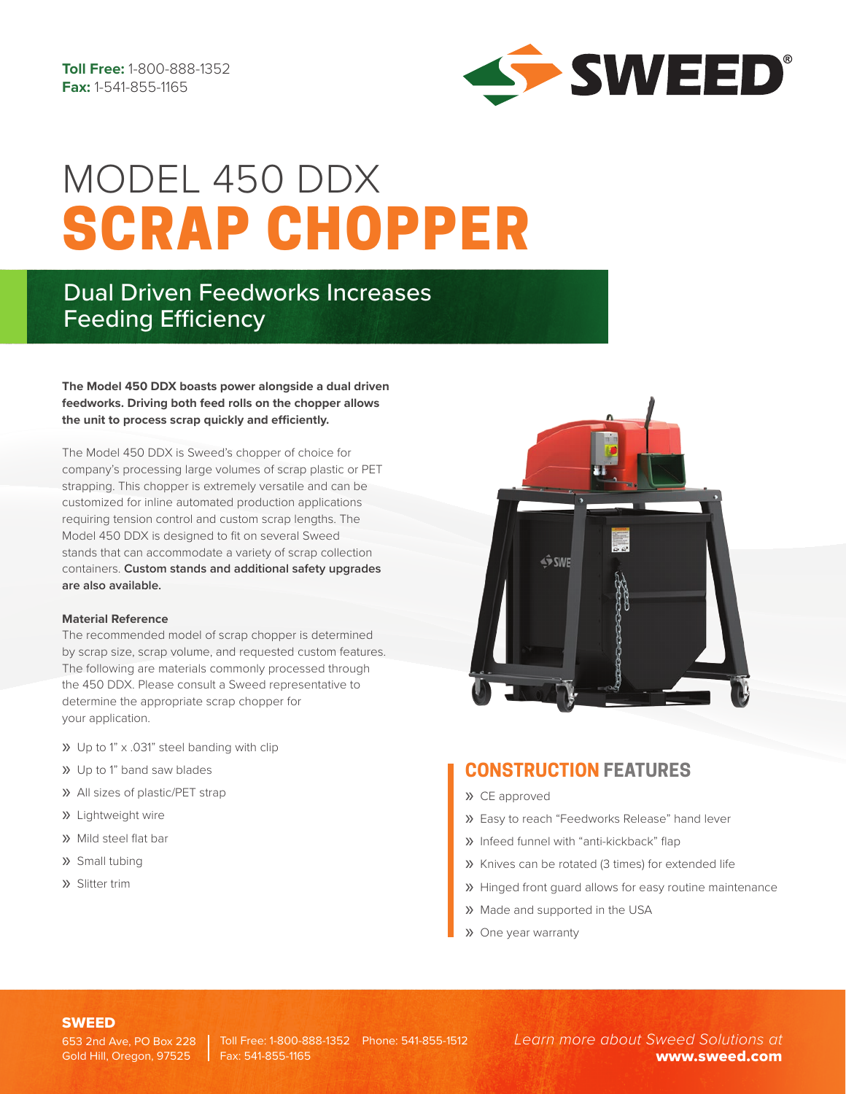

# SCRAP CHOPPER MODEL 450 DDX

## Dual Driven Feedworks Increases Feeding Efficiency

**The Model 450 DDX boasts power alongside a dual driven feedworks. Driving both feed rolls on the chopper allows the unit to process scrap quickly and efficiently.** 

The Model 450 DDX is Sweed's chopper of choice for company's processing large volumes of scrap plastic or PET strapping. This chopper is extremely versatile and can be customized for inline automated production applications requiring tension control and custom scrap lengths. The Model 450 DDX is designed to fit on several Sweed stands that can accommodate a variety of scrap collection containers. **Custom stands and additional safety upgrades are also available.**

#### **Material Reference**

The recommended model of scrap chopper is determined by scrap size, scrap volume, and requested custom features. The following are materials commonly processed through the 450 DDX. Please consult a Sweed representative to determine the appropriate scrap chopper for your application.

- » Up to 1" x .031" steel banding with clip
- » Up to 1" band saw blades
- » All sizes of plastic/PET strap
- » Lightweight wire
- » Mild steel flat bar
- » Small tubing
- » Slitter trim



### **CONSTRUCTION FEATURES**

- » CE approved
- » Easy to reach "Feedworks Release" hand lever
- » Infeed funnel with "anti-kickback" flap
- » Knives can be rotated (3 times) for extended life
- » Hinged front guard allows for easy routine maintenance
- » Made and supported in the USA
- » One year warranty

#### SWEED

Gold Hill, Oregon, 97525

653 2nd Ave, PO Box 228 | Toll Free: 1-800-888-1352 Phone: 541-855-1512 Fax: 541-855-1165

*Learn more about Sweed Solutions at* www.sweed.com